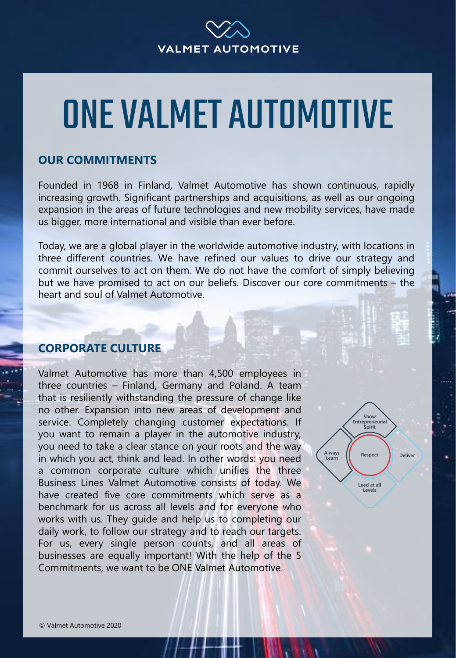

## ONE VALMET AUTOMOTIVE

## **OUR COMMITMENTS**

Founded in 1968 in Finland, Valmet Automotive has shown continuous, rapidly increasing growth. Significant partnerships and acquisitions, as well as our ongoing expansion in the areas of future technologies and new mobility services, have made us bigger, more international and visible than ever before.

Today, we are a global player in the worldwide automotive industry, with locations in three different countries. We have refined our values to drive our strategy and commit ourselves to act on them. We do not have the comfort of simply believing but we have promised to act on our beliefs. Discover our core commitments – the heart and soul of Valmet Automotive.

## **CORPORATE CULTURE**

Valmet Automotive has more than 4,500 employees in three countries – Finland, Germany and Poland. A team that is resiliently withstanding the pressure of change like no other. Expansion into new areas of development and service. Completely changing customer expectations. If you want to remain a player in the automotive industry, you need to take a clear stance on your roots and the way in which you act, think and lead. In other words: you need a common corporate culture which unifies the three Business Lines Valmet Automotive consists of today. We have created five core commitments which serve as a benchmark for us across all levels and for everyone who works with us. They guide and help us to completing our daily work, to follow our strategy and to reach our targets. For us, every single person counts, and all areas of businesses are equally important! With the help of the 5 Commitments, we want to be ONE Valmet Automotive.